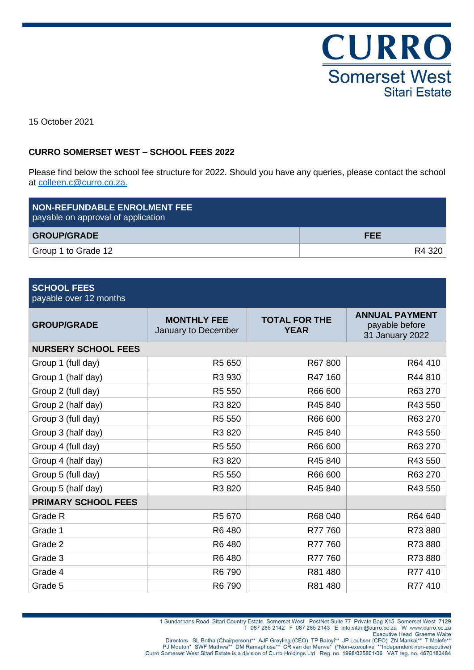CURRO **Somerset West Sitari Estate** 

15 October 2021

### **CURRO SOMERSET WEST – SCHOOL FEES 2022**

Please find below the school fee structure for 2022. Should you have any queries, please contact the school at [colleen.c@curro.co.za.](mailto:colleen.c@curro.co.za)

| <b>NON-REFUNDABLE ENROLMENT FEE</b><br>payable on approval of application |            |  |
|---------------------------------------------------------------------------|------------|--|
| <b>GROUP/GRADE</b>                                                        | <b>FEE</b> |  |
| Group 1 to Grade 12                                                       | R4 320     |  |

| <b>SCHOOL FEES</b> |
|--------------------|
|                    |

| payable over 12 months |
|------------------------|
|------------------------|

| <b>GROUP/GRADE</b>         | <b>MONTHLY FEE</b><br>January to December | <b>TOTAL FOR THE</b><br><b>YEAR</b> | <b>ANNUAL PAYMENT</b><br>payable before<br>31 January 2022 |
|----------------------------|-------------------------------------------|-------------------------------------|------------------------------------------------------------|
| <b>NURSERY SCHOOL FEES</b> |                                           |                                     |                                                            |
| Group 1 (full day)         | R5 650                                    | R67 800                             | R64 410                                                    |
| Group 1 (half day)         | R3 930                                    | R47 160                             | R44 810                                                    |
| Group 2 (full day)         | R5 550                                    | R66 600                             | R63 270                                                    |
| Group 2 (half day)         | R3 820                                    | R45 840                             | R43 550                                                    |
| Group 3 (full day)         | R5 550                                    | R66 600                             | R63 270                                                    |
| Group 3 (half day)         | R3 820                                    | R45 840                             | R43 550                                                    |
| Group 4 (full day)         | R5 550                                    | R66 600                             | R63 270                                                    |
| Group 4 (half day)         | R3 820                                    | R45 840                             | R43 550                                                    |
| Group 5 (full day)         | R5 550                                    | R66 600                             | R63 270                                                    |
| Group 5 (half day)         | R3 820                                    | R45 840                             | R43 550                                                    |
| <b>PRIMARY SCHOOL FEES</b> |                                           |                                     |                                                            |
| Grade R                    | R5 670                                    | R68 040                             | R64 640                                                    |
| Grade 1                    | R6 480                                    | R77 760                             | R73880                                                     |
| Grade 2                    | R6 480                                    | R77 760                             | R73880                                                     |
| Grade 3                    | R6 480                                    | R77760                              | R73 880                                                    |
| Grade 4                    | R6 790                                    | R81 480                             | R77 410                                                    |
| Grade 5                    | R6 790                                    | R81 480                             | R77 410                                                    |

Directors SL Botha (Chairperson)\*\* AJF Greyling (CEO) TP Baloyi\*\* JP Loubser (CFO) ZN Mankai\*\* T Molefe<sup>\*\*</sup><br>PJ Mouton\* SWF Muthwa\*\* DM Ramaphosa\*\* CR van der Merwe<sup>\*</sup> (\*Non-executive Head Graeme Walte<br>Curro Somerset West S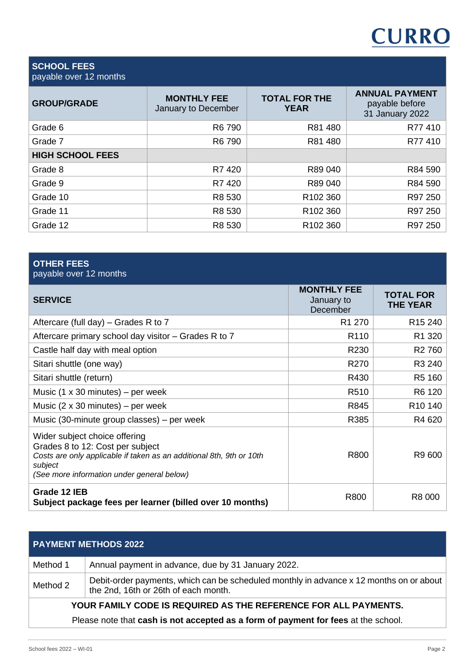# **CURRO**

#### **SCHOOL FEES** payable over 12 months

| <b>GROUP/GRADE</b>      | <b>MONTHLY FEE</b><br>January to December | <b>TOTAL FOR THE</b><br><b>YEAR</b> | <b>ANNUAL PAYMENT</b><br>payable before<br>31 January 2022 |
|-------------------------|-------------------------------------------|-------------------------------------|------------------------------------------------------------|
| Grade 6                 | R6 790                                    | R81 480                             | R77410                                                     |
| Grade 7                 | R81 480<br>R6 790                         |                                     | R77410                                                     |
| <b>HIGH SCHOOL FEES</b> |                                           |                                     |                                                            |
| Grade 8                 | R7420                                     | R89 040                             | R84 590                                                    |
| Grade 9                 | R7420                                     | R89 040                             | R84 590                                                    |
| Grade 10                | R8 530                                    | R102 360                            | R97 250                                                    |
| Grade 11                | R8 530                                    | R102 360                            | R97 250                                                    |
| Grade 12                | R8 530                                    | R102 360                            | R97 250                                                    |

| <b>OTHER FEES</b><br>payable over 12 months                                                                                                                                                        |                                              |                                     |
|----------------------------------------------------------------------------------------------------------------------------------------------------------------------------------------------------|----------------------------------------------|-------------------------------------|
| <b>SERVICE</b>                                                                                                                                                                                     | <b>MONTHLY FEE</b><br>January to<br>December | <b>TOTAL FOR</b><br><b>THE YEAR</b> |
| Aftercare (full day) $-$ Grades R to 7                                                                                                                                                             | R <sub>1</sub> 270                           | R <sub>15</sub> 240                 |
| Aftercare primary school day visitor – Grades R to 7                                                                                                                                               | R <sub>110</sub>                             | R1 320                              |
| Castle half day with meal option                                                                                                                                                                   | R230                                         | R <sub>2</sub> 760                  |
| Sitari shuttle (one way)                                                                                                                                                                           | R270                                         | R3 240                              |
| Sitari shuttle (return)                                                                                                                                                                            | R430                                         | R5 160                              |
| Music $(1 \times 30 \text{ minutes})$ – per week                                                                                                                                                   | R510                                         | R6 120                              |
| Music $(2 \times 30 \text{ minutes})$ – per week                                                                                                                                                   | R845                                         | R <sub>10</sub> 140                 |
| Music (30-minute group classes) – per week                                                                                                                                                         | R385                                         | R4 620                              |
| Wider subject choice offering<br>Grades 8 to 12: Cost per subject<br>Costs are only applicable if taken as an additional 8th, 9th or 10th<br>subject<br>(See more information under general below) | R800                                         | R9 600                              |
| Grade 12 IEB<br>Subject package fees per learner (billed over 10 months)                                                                                                                           | R800                                         | R8 000                              |

## **PAYMENT METHODS 2022**

| Method 1                                                                           | Annual payment in advance, due by 31 January 2022.                                                                              |  |  |
|------------------------------------------------------------------------------------|---------------------------------------------------------------------------------------------------------------------------------|--|--|
| Method 2                                                                           | Debit-order payments, which can be scheduled monthly in advance x 12 months on or about<br>the 2nd, 16th or 26th of each month. |  |  |
| YOUR FAMILY CODE IS REQUIRED AS THE REFERENCE FOR ALL PAYMENTS.                    |                                                                                                                                 |  |  |
| Please note that cash is not accepted as a form of payment for fees at the school. |                                                                                                                                 |  |  |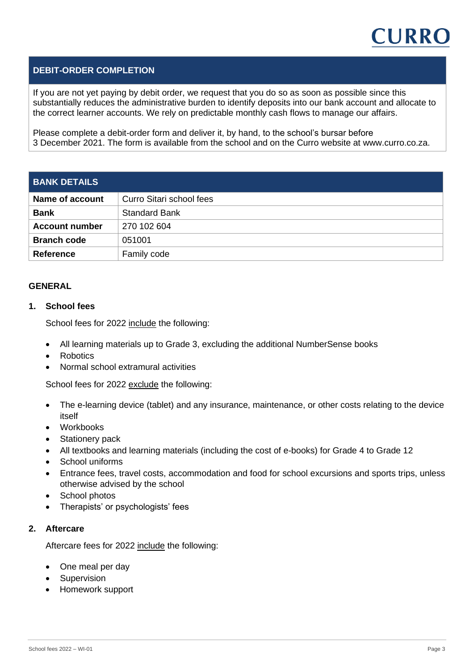

#### **DEBIT-ORDER COMPLETION**

If you are not yet paying by debit order, we request that you do so as soon as possible since this substantially reduces the administrative burden to identify deposits into our bank account and allocate to the correct learner accounts. We rely on predictable monthly cash flows to manage our affairs.

Please complete a debit-order form and deliver it, by hand, to the school's bursar before 3 December 2021. The form is available from the school and on the Curro website at www.curro.co.za.

| <b>BANK DETAILS</b>    |                          |  |
|------------------------|--------------------------|--|
| <b>Name of account</b> | Curro Sitari school fees |  |
| <b>Bank</b>            | <b>Standard Bank</b>     |  |
| <b>Account number</b>  | 270 102 604              |  |
| <b>Branch code</b>     | 051001                   |  |
| <b>Reference</b>       | Family code              |  |

#### **GENERAL**

#### **1. School fees**

School fees for 2022 include the following:

- All learning materials up to Grade 3, excluding the additional NumberSense books
- Robotics
- Normal school extramural activities

School fees for 2022 exclude the following:

- The e-learning device (tablet) and any insurance, maintenance, or other costs relating to the device itself
- Workbooks
- Stationery pack
- All textbooks and learning materials (including the cost of e-books) for Grade 4 to Grade 12
- School uniforms
- Entrance fees, travel costs, accommodation and food for school excursions and sports trips, unless otherwise advised by the school
- School photos
- Therapists' or psychologists' fees

#### **2. Aftercare**

Aftercare fees for 2022 include the following:

- One meal per day
- **Supervision**
- Homework support